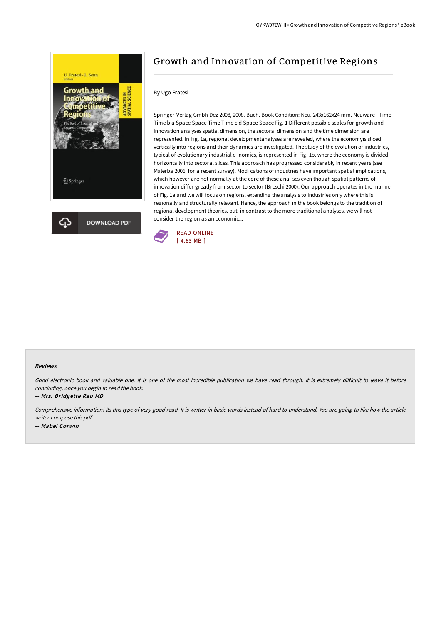



# Growth and Innovation of Competitive Regions

#### By Ugo Fratesi

Springer-Verlag Gmbh Dez 2008, 2008. Buch. Book Condition: Neu. 243x162x24 mm. Neuware - Time Time b a Space Space Time Time c d Space Space Fig. 1 Different possible scales for growth and innovation analyses spatial dimension, the sectoral dimension and the time dimension are represented. In Fig. 1a, regional developmentanalyses are revealed, where the economyis sliced vertically into regions and their dynamics are investigated. The study of the evolution of industries, typical of evolutionary industrial e- nomics, is represented in Fig. 1b, where the economy is divided horizontally into sectoral slices. This approach has progressed considerably in recent years (see Malerba 2006, for a recent survey). Modi cations of industries have important spatial implications, which however are not normally at the core of these ana- ses even though spatial patterns of innovation differ greatly from sector to sector (Breschi 2000). Our approach operates in the manner of Fig. 1a and we will focus on regions, extending the analysis to industries only where this is regionally and structurally relevant. Hence, the approach in the book belongs to the tradition of regional development theories, but, in contrast to the more traditional analyses, we will not consider the region as an economic...



#### Reviews

Good electronic book and valuable one. It is one of the most incredible publication we have read through. It is extremely difficult to leave it before concluding, once you begin to read the book.

-- Mrs. Bridgette Rau MD

Comprehensive information! Its this type of very good read. It is writter in basic words instead of hard to understand. You are going to like how the article writer compose this pdf. -- Mabel Corwin